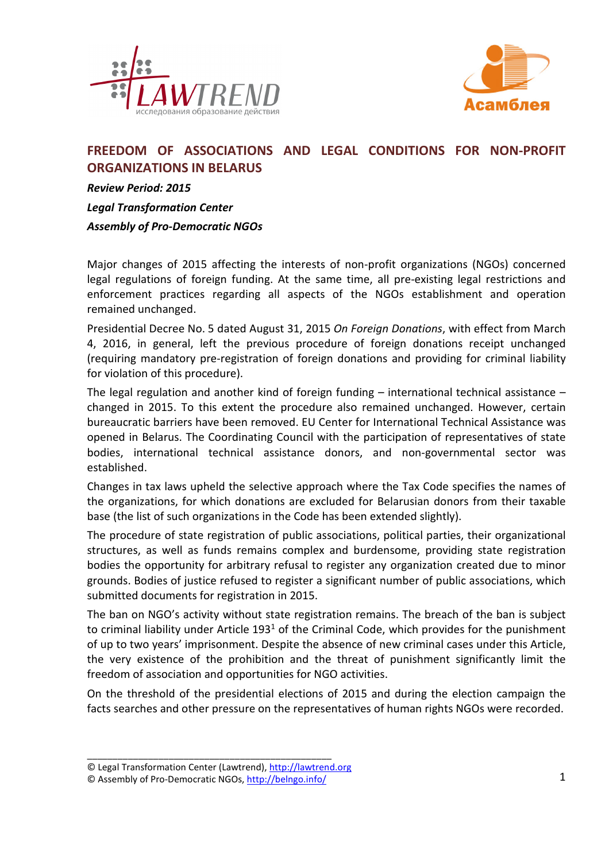



# **FREEDOM OF ASSOCIATIONS AND LEGAL CONDITIONS FOR NON-PROFIT ORGANIZATIONS IN BELARUS**

*Review Period: 2015* 

*Legal Transformation Center Assembly of Pro-Democratic NGOs* 

Major changes of 2015 affecting the interests of non-profit organizations (NGOs) concerned legal regulations of foreign funding. At the same time, all pre-existing legal restrictions and enforcement practices regarding all aspects of the NGOs establishment and operation remained unchanged.

Presidential Decree No. 5 dated August 31, 2015 *On Foreign Donations*, with effect from March 4, 2016, in general, left the previous procedure of foreign donations receipt unchanged (requiring mandatory pre-registration of foreign donations and providing for criminal liability for violation of this procedure).

The legal regulation and another kind of foreign funding – international technical assistance – changed in 2015. To this extent the procedure also remained unchanged. However, certain bureaucratic barriers have been removed. EU Center for International Technical Assistance was opened in Belarus. The Coordinating Council with the participation of representatives of state bodies, international technical assistance donors, and non-governmental sector was established.

Changes in tax laws upheld the selective approach where the Tax Code specifies the names of the organizations, for which donations are excluded for Belarusian donors from their taxable base (the list of such organizations in the Code has been extended slightly).

The procedure of state registration of public associations, political parties, their organizational structures, as well as funds remains complex and burdensome, providing state registration bodies the opportunity for arbitrary refusal to register any organization created due to minor grounds. Bodies of justice refused to register a significant number of public associations, which submitted documents for registration in 2015.

The ban on NGO's activity without state registration remains. The breach of the ban is subject to criminal liability under Article 193<sup>1</sup> of the Criminal Code, which provides for the punishment of up to two years' imprisonment. Despite the absence of new criminal cases under this Article, the very existence of the prohibition and the threat of punishment significantly limit the freedom of association and opportunities for NGO activities.

On the threshold of the presidential elections of 2015 and during the election campaign the facts searches and other pressure on the representatives of human rights NGOs were recorded.

<sup>©</sup> Legal Transformation Center (Lawtrend), http://lawtrend.org

<sup>©</sup> Assembly of Pro-Democratic NGOs, http://belngo.info/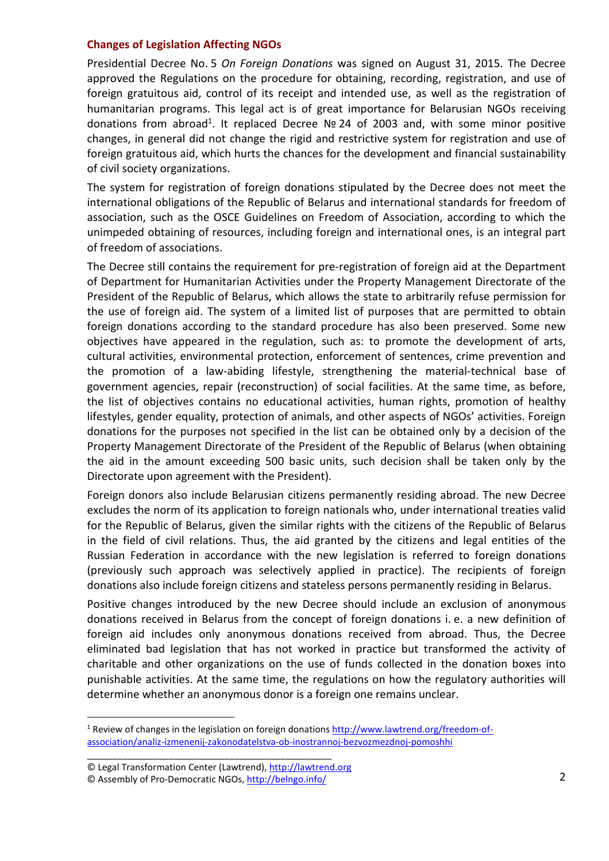#### **Changes of Legislation Affecting NGOs**

Presidential Decree No. 5 *On Foreign Donations* was signed on August 31, 2015. The Decree approved the Regulations on the procedure for obtaining, recording, registration, and use of foreign gratuitous aid, control of its receipt and intended use, as well as the registration of humanitarian programs. This legal act is of great importance for Belarusian NGOs receiving donations from abroad<sup>1</sup>. It replaced Decree Nº 24 of 2003 and, with some minor positive changes, in general did not change the rigid and restrictive system for registration and use of foreign gratuitous aid, which hurts the chances for the development and financial sustainability of civil society organizations.

The system for registration of foreign donations stipulated by the Decree does not meet the international obligations of the Republic of Belarus and international standards for freedom of association, such as the OSCE Guidelines on Freedom of Association, according to which the unimpeded obtaining of resources, including foreign and international ones, is an integral part of freedom of associations.

The Decree still contains the requirement for pre-registration of foreign aid at the Department of Department for Humanitarian Activities under the Property Management Directorate of the President of the Republic of Belarus, which allows the state to arbitrarily refuse permission for the use of foreign aid. The system of a limited list of purposes that are permitted to obtain foreign donations according to the standard procedure has also been preserved. Some new objectives have appeared in the regulation, such as: to promote the development of arts, cultural activities, environmental protection, enforcement of sentences, crime prevention and the promotion of a law-abiding lifestyle, strengthening the material-technical base of government agencies, repair (reconstruction) of social facilities. At the same time, as before, the list of objectives contains no educational activities, human rights, promotion of healthy lifestyles, gender equality, protection of animals, and other aspects of NGOs' activities. Foreign donations for the purposes not specified in the list can be obtained only by a decision of the Property Management Directorate of the President of the Republic of Belarus (when obtaining the aid in the amount exceeding 500 basic units, such decision shall be taken only by the Directorate upon agreement with the President).

Foreign donors also include Belarusian citizens permanently residing abroad. The new Decree excludes the norm of its application to foreign nationals who, under international treaties valid for the Republic of Belarus, given the similar rights with the citizens of the Republic of Belarus in the field of civil relations. Thus, the aid granted by the citizens and legal entities of the Russian Federation in accordance with the new legislation is referred to foreign donations (previously such approach was selectively applied in practice). The recipients of foreign donations also include foreign citizens and stateless persons permanently residing in Belarus.

Positive changes introduced by the new Decree should include an exclusion of anonymous donations received in Belarus from the concept of foreign donations i. e. a new definition of foreign aid includes only anonymous donations received from abroad. Thus, the Decree eliminated bad legislation that has not worked in practice but transformed the activity of charitable and other organizations on the use of funds collected in the donation boxes into punishable activities. At the same time, the regulations on how the regulatory authorities will determine whether an anonymous donor is a foreign one remains unclear.

\_\_\_\_\_\_\_\_\_\_\_\_\_\_\_\_\_\_\_\_\_\_\_\_\_\_\_\_\_\_\_\_\_\_\_\_\_\_\_\_\_\_\_\_\_\_\_\_

 $\overline{a}$ 

<sup>&</sup>lt;sup>1</sup> Review of changes in the legislation on foreign donations http://www.lawtrend.org/freedom-ofassociation/analiz-izmenenij-zakonodatelstva-ob-inostrannoj-bezvozmezdnoj-pomoshhi

<sup>©</sup> Legal Transformation Center (Lawtrend), http://lawtrend.org

<sup>©</sup> Assembly of Pro-Democratic NGOs, http://belngo.info/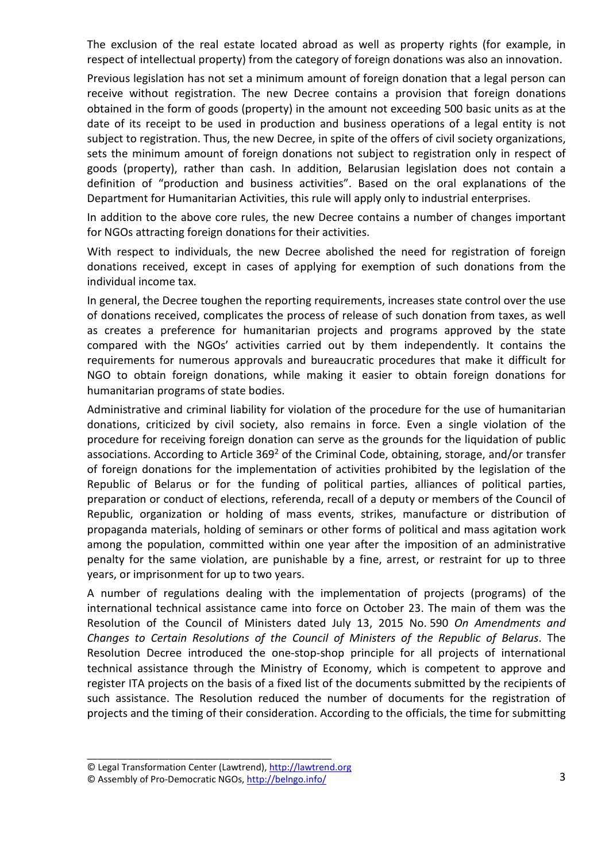The exclusion of the real estate located abroad as well as property rights (for example, in respect of intellectual property) from the category of foreign donations was also an innovation.

Previous legislation has not set a minimum amount of foreign donation that a legal person can receive without registration. The new Decree contains a provision that foreign donations obtained in the form of goods (property) in the amount not exceeding 500 basic units as at the date of its receipt to be used in production and business operations of a legal entity is not subject to registration. Thus, the new Decree, in spite of the offers of civil society organizations, sets the minimum amount of foreign donations not subject to registration only in respect of goods (property), rather than cash. In addition, Belarusian legislation does not contain a definition of "production and business activities". Based on the oral explanations of the Department for Humanitarian Activities, this rule will apply only to industrial enterprises.

In addition to the above core rules, the new Decree contains a number of changes important for NGOs attracting foreign donations for their activities.

With respect to individuals, the new Decree abolished the need for registration of foreign donations received, except in cases of applying for exemption of such donations from the individual income tax.

In general, the Decree toughen the reporting requirements, increases state control over the use of donations received, complicates the process of release of such donation from taxes, as well as creates a preference for humanitarian projects and programs approved by the state compared with the NGOs' activities carried out by them independently. It contains the requirements for numerous approvals and bureaucratic procedures that make it difficult for NGO to obtain foreign donations, while making it easier to obtain foreign donations for humanitarian programs of state bodies.

Administrative and criminal liability for violation of the procedure for the use of humanitarian donations, criticized by civil society, also remains in force. Even a single violation of the procedure for receiving foreign donation can serve as the grounds for the liquidation of public associations. According to Article 369<sup>2</sup> of the Criminal Code, obtaining, storage, and/or transfer of foreign donations for the implementation of activities prohibited by the legislation of the Republic of Belarus or for the funding of political parties, alliances of political parties, preparation or conduct of elections, referenda, recall of a deputy or members of the Council of Republic, organization or holding of mass events, strikes, manufacture or distribution of propaganda materials, holding of seminars or other forms of political and mass agitation work among the population, committed within one year after the imposition of an administrative penalty for the same violation, are punishable by a fine, arrest, or restraint for up to three years, or imprisonment for up to two years.

A number of regulations dealing with the implementation of projects (programs) of the international technical assistance came into force on October 23. The main of them was the Resolution of the Council of Ministers dated July 13, 2015 No. 590 *On Amendments and Changes to Certain Resolutions of the Council of Ministers of the Republic of Belarus*. The Resolution Decree introduced the one-stop-shop principle for all projects of international technical assistance through the Ministry of Economy, which is competent to approve and register ITA projects on the basis of a fixed list of the documents submitted by the recipients of such assistance. The Resolution reduced the number of documents for the registration of projects and the timing of their consideration. According to the officials, the time for submitting

<sup>©</sup> Legal Transformation Center (Lawtrend), http://lawtrend.org

<sup>©</sup> Assembly of Pro-Democratic NGOs, http://belngo.info/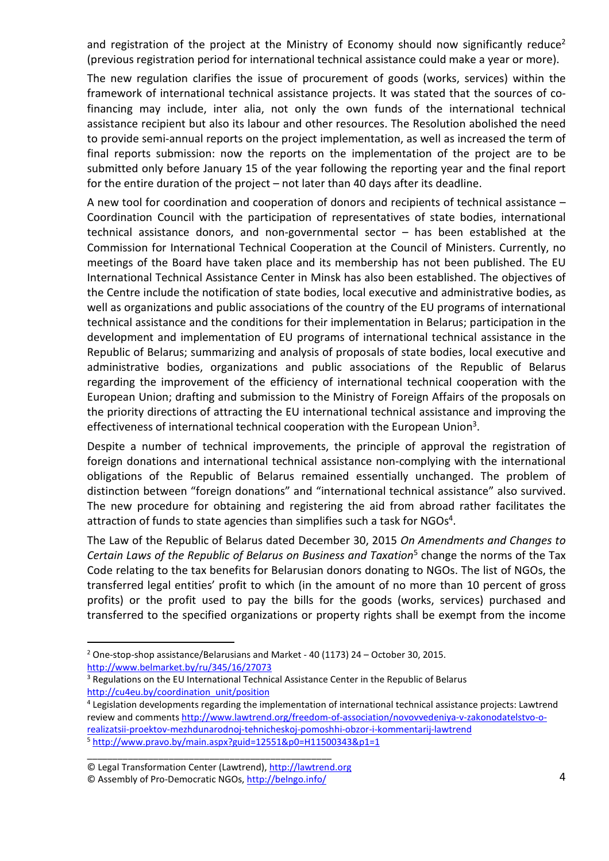and registration of the project at the Ministry of Economy should now significantly reduce<sup>2</sup> (previous registration period for international technical assistance could make a year or more).

The new regulation clarifies the issue of procurement of goods (works, services) within the framework of international technical assistance projects. It was stated that the sources of cofinancing may include, inter alia, not only the own funds of the international technical assistance recipient but also its labour and other resources. The Resolution abolished the need to provide semi-annual reports on the project implementation, as well as increased the term of final reports submission: now the reports on the implementation of the project are to be submitted only before January 15 of the year following the reporting year and the final report for the entire duration of the project – not later than 40 days after its deadline.

A new tool for coordination and cooperation of donors and recipients of technical assistance – Coordination Council with the participation of representatives of state bodies, international technical assistance donors, and non-governmental sector – has been established at the Commission for International Technical Cooperation at the Council of Ministers. Currently, no meetings of the Board have taken place and its membership has not been published. The EU International Technical Assistance Center in Minsk has also been established. The objectives of the Centre include the notification of state bodies, local executive and administrative bodies, as well as organizations and public associations of the country of the EU programs of international technical assistance and the conditions for their implementation in Belarus; participation in the development and implementation of EU programs of international technical assistance in the Republic of Belarus; summarizing and analysis of proposals of state bodies, local executive and administrative bodies, organizations and public associations of the Republic of Belarus regarding the improvement of the efficiency of international technical cooperation with the European Union; drafting and submission to the Ministry of Foreign Affairs of the proposals on the priority directions of attracting the EU international technical assistance and improving the effectiveness of international technical cooperation with the European Union<sup>3</sup>.

Despite a number of technical improvements, the principle of approval the registration of foreign donations and international technical assistance non-complying with the international obligations of the Republic of Belarus remained essentially unchanged. The problem of distinction between "foreign donations" and "international technical assistance" also survived. The new procedure for obtaining and registering the aid from abroad rather facilitates the attraction of funds to state agencies than simplifies such a task for  $NGOs<sup>4</sup>$ .

The Law of the Republic of Belarus dated December 30, 2015 *On Amendments and Changes to*  Certain Laws of the Republic of Belarus on Business and Taxation<sup>5</sup> change the norms of the Tax Code relating to the tax benefits for Belarusian donors donating to NGOs. The list of NGOs, the transferred legal entities' profit to which (in the amount of no more than 10 percent of gross profits) or the profit used to pay the bills for the goods (works, services) purchased and transferred to the specified organizations or property rights shall be exempt from the income

 $\overline{a}$ 

<sup>&</sup>lt;sup>2</sup> One-stop-shop assistance/Belarusians and Market - 40 (1173) 24 – October 30, 2015. http://www.belmarket.by/ru/345/16/27073

<sup>&</sup>lt;sup>3</sup> Regulations on the EU International Technical Assistance Center in the Republic of Belarus http://cu4eu.by/coordination\_unit/position

<sup>4</sup> Legislation developments regarding the implementation of international technical assistance projects: Lawtrend review and comments http://www.lawtrend.org/freedom-of-association/novovvedeniya-v-zakonodatelstvo-orealizatsii-proektov-mezhdunarodnoj-tehnicheskoj-pomoshhi-obzor-i-kommentarij-lawtrend <sup>5</sup> http://www.pravo.by/main.aspx?guid=12551&p0=H11500343&p1=1

\_\_\_\_\_\_\_\_\_\_\_\_\_\_\_\_\_\_\_\_\_\_\_\_\_\_\_\_\_\_\_\_\_\_\_\_\_\_\_\_\_\_\_\_\_\_\_\_ © Legal Transformation Center (Lawtrend), http://lawtrend.org

<sup>©</sup> Assembly of Pro-Democratic NGOs, http://belngo.info/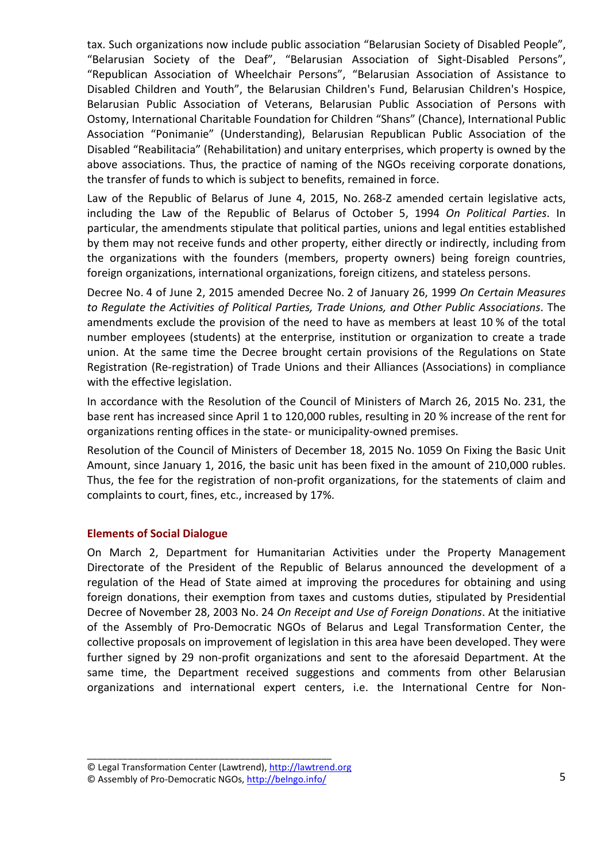tax. Such organizations now include public association "Belarusian Society of Disabled People", "Belarusian Society of the Deaf", "Belarusian Association of Sight-Disabled Persons", "Republican Association of Wheelchair Persons", "Belarusian Association of Assistance to Disabled Children and Youth", the Belarusian Children's Fund, Belarusian Children's Hospice, Belarusian Public Association of Veterans, Belarusian Public Association of Persons with Ostomy, International Charitable Foundation for Children "Shans" (Chance), International Public Association "Ponimanie" (Understanding), Belarusian Republican Public Association of the Disabled "Reabilitacia" (Rehabilitation) and unitary enterprises, which property is owned by the above associations. Thus, the practice of naming of the NGOs receiving corporate donations, the transfer of funds to which is subject to benefits, remained in force.

Law of the Republic of Belarus of June 4, 2015, No. 268-Z amended certain legislative acts, including the Law of the Republic of Belarus of October 5, 1994 *On Political Parties*. In particular, the amendments stipulate that political parties, unions and legal entities established by them may not receive funds and other property, either directly or indirectly, including from the organizations with the founders (members, property owners) being foreign countries, foreign organizations, international organizations, foreign citizens, and stateless persons.

Decree No. 4 of June 2, 2015 amended Decree No. 2 of January 26, 1999 *On Certain Measures to Regulate the Activities of Political Parties, Trade Unions, and Other Public Associations*. The amendments exclude the provision of the need to have as members at least 10 % of the total number employees (students) at the enterprise, institution or organization to create a trade union. At the same time the Decree brought certain provisions of the Regulations on State Registration (Re-registration) of Trade Unions and their Alliances (Associations) in compliance with the effective legislation.

In accordance with the Resolution of the Council of Ministers of March 26, 2015 No. 231, the base rent has increased since April 1 to 120,000 rubles, resulting in 20 % increase of the rent for organizations renting offices in the state- or municipality-owned premises.

Resolution of the Council of Ministers of December 18, 2015 No. 1059 On Fixing the Basic Unit Amount, since January 1, 2016, the basic unit has been fixed in the amount of 210,000 rubles. Thus, the fee for the registration of non-profit organizations, for the statements of claim and complaints to court, fines, etc., increased by 17%.

## **Elements of Social Dialogue**

On March 2, Department for Humanitarian Activities under the Property Management Directorate of the President of the Republic of Belarus announced the development of a regulation of the Head of State aimed at improving the procedures for obtaining and using foreign donations, their exemption from taxes and customs duties, stipulated by Presidential Decree of November 28, 2003 No. 24 *On Receipt and Use of Foreign Donations*. At the initiative of the Assembly of Pro-Democratic NGOs of Belarus and Legal Transformation Center, the collective proposals on improvement of legislation in this area have been developed. They were further signed by 29 non-profit organizations and sent to the aforesaid Department. At the same time, the Department received suggestions and comments from other Belarusian organizations and international expert centers, i.e. the International Centre for Non-

<sup>©</sup> Legal Transformation Center (Lawtrend), http://lawtrend.org

<sup>©</sup> Assembly of Pro-Democratic NGOs, http://belngo.info/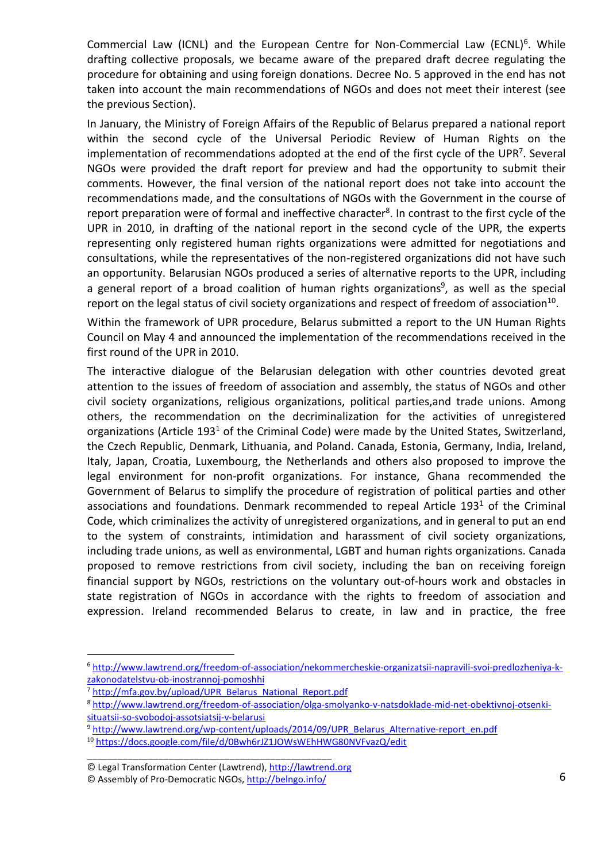Commercial Law (ICNL) and the European Centre for Non-Commercial Law (ECNL)<sup>6</sup>. While drafting collective proposals, we became aware of the prepared draft decree regulating the procedure for obtaining and using foreign donations. Decree No. 5 approved in the end has not taken into account the main recommendations of NGOs and does not meet their interest (see the previous Section).

In January, the Ministry of Foreign Affairs of the Republic of Belarus prepared a national report within the second cycle of the Universal Periodic Review of Human Rights on the implementation of recommendations adopted at the end of the first cycle of the UPR<sup>7</sup>. Several NGOs were provided the draft report for preview and had the opportunity to submit their comments. However, the final version of the national report does not take into account the recommendations made, and the consultations of NGOs with the Government in the course of report preparation were of formal and ineffective character<sup>8</sup>. In contrast to the first cycle of the UPR in 2010, in drafting of the national report in the second cycle of the UPR, the experts representing only registered human rights organizations were admitted for negotiations and consultations, while the representatives of the non-registered organizations did not have such an opportunity. Belarusian NGOs produced a series of alternative reports to the UPR, including a general report of a broad coalition of human rights organizations<sup>9</sup>, as well as the special report on the legal status of civil society organizations and respect of freedom of association $^{10}$ .

Within the framework of UPR procedure, Belarus submitted a report to the UN Human Rights Council on May 4 and announced the implementation of the recommendations received in the first round of the UPR in 2010.

The interactive dialogue of the Belarusian delegation with other countries devoted great attention to the issues of freedom of association and assembly, the status of NGOs and other civil society organizations, religious organizations, political parties,and trade unions. Among others, the recommendation on the decriminalization for the activities of unregistered organizations (Article 193<sup>1</sup> of the Criminal Code) were made by the United States, Switzerland, the Czech Republic, Denmark, Lithuania, and Poland. Canada, Estonia, Germany, India, Ireland, Italy, Japan, Croatia, Luxembourg, the Netherlands and others also proposed to improve the legal environment for non-profit organizations. For instance, Ghana recommended the Government of Belarus to simplify the procedure of registration of political parties and other associations and foundations. Denmark recommended to repeal Article  $193<sup>1</sup>$  of the Criminal Code, which criminalizes the activity of unregistered organizations, and in general to put an end to the system of constraints, intimidation and harassment of civil society organizations, including trade unions, as well as environmental, LGBT and human rights organizations. Canada proposed to remove restrictions from civil society, including the ban on receiving foreign financial support by NGOs, restrictions on the voluntary out-of-hours work and obstacles in state registration of NGOs in accordance with the rights to freedom of association and expression. Ireland recommended Belarus to create, in law and in practice, the free

 $\overline{a}$ 

<sup>6</sup> http://www.lawtrend.org/freedom-of-association/nekommercheskie-organizatsii-napravili-svoi-predlozheniya-kzakonodatelstvu-ob-inostrannoj-pomoshhi

<sup>&</sup>lt;sup>7</sup> http://mfa.gov.by/upload/UPR\_Belarus\_National\_Report.pdf

<sup>8</sup> http://www.lawtrend.org/freedom-of-association/olga-smolyanko-v-natsdoklade-mid-net-obektivnoj-otsenkisituatsii-so-svobodoj-assotsiatsij-v-belarusi

<sup>9</sup> http://www.lawtrend.org/wp-content/uploads/2014/09/UPR\_Belarus\_Alternative-report\_en.pdf

<sup>10</sup> https://docs.google.com/file/d/0Bwh6rJZ1JOWsWEhHWG80NVFvazQ/edit

<sup>©</sup> Legal Transformation Center (Lawtrend), http://lawtrend.org

<sup>©</sup> Assembly of Pro-Democratic NGOs, http://belngo.info/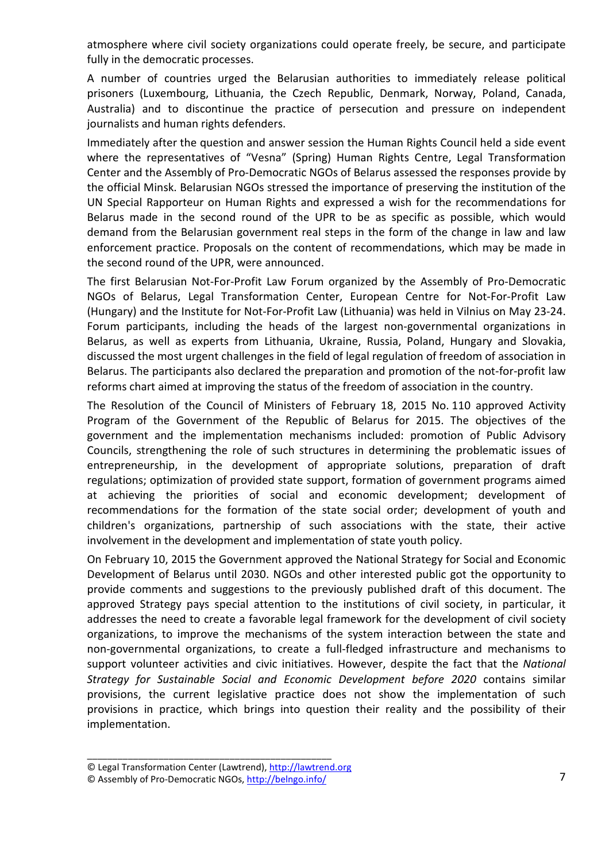atmosphere where civil society organizations could operate freely, be secure, and participate fully in the democratic processes.

A number of countries urged the Belarusian authorities to immediately release political prisoners (Luxembourg, Lithuania, the Czech Republic, Denmark, Norway, Poland, Canada, Australia) and to discontinue the practice of persecution and pressure on independent journalists and human rights defenders.

Immediately after the question and answer session the Human Rights Council held a side event where the representatives of "Vesna" (Spring) Human Rights Centre, Legal Transformation Center and the Assembly of Pro-Democratic NGOs of Belarus assessed the responses provide by the official Minsk. Belarusian NGOs stressed the importance of preserving the institution of the UN Special Rapporteur on Human Rights and expressed a wish for the recommendations for Belarus made in the second round of the UPR to be as specific as possible, which would demand from the Belarusian government real steps in the form of the change in law and law enforcement practice. Proposals on the content of recommendations, which may be made in the second round of the UPR, were announced.

The first Belarusian Not-For-Profit Law Forum organized by the Assembly of Pro-Democratic NGOs of Belarus, Legal Transformation Center, European Centre for Not-For-Profit Law (Hungary) and the Institute for Not-For-Profit Law (Lithuania) was held in Vilnius on May 23-24. Forum participants, including the heads of the largest non-governmental organizations in Belarus, as well as experts from Lithuania, Ukraine, Russia, Poland, Hungary and Slovakia, discussed the most urgent challenges in the field of legal regulation of freedom of association in Belarus. The participants also declared the preparation and promotion of the not-for-profit law reforms chart aimed at improving the status of the freedom of association in the country.

The Resolution of the Council of Ministers of February 18, 2015 No. 110 approved Activity Program of the Government of the Republic of Belarus for 2015. The objectives of the government and the implementation mechanisms included: promotion of Public Advisory Councils, strengthening the role of such structures in determining the problematic issues of entrepreneurship, in the development of appropriate solutions, preparation of draft regulations; optimization of provided state support, formation of government programs aimed at achieving the priorities of social and economic development; development of recommendations for the formation of the state social order; development of youth and children's organizations, partnership of such associations with the state, their active involvement in the development and implementation of state youth policy.

On February 10, 2015 the Government approved the National Strategy for Social and Economic Development of Belarus until 2030. NGOs and other interested public got the opportunity to provide comments and suggestions to the previously published draft of this document. The approved Strategy pays special attention to the institutions of civil society, in particular, it addresses the need to create a favorable legal framework for the development of civil society organizations, to improve the mechanisms of the system interaction between the state and non-governmental organizations, to create a full-fledged infrastructure and mechanisms to support volunteer activities and civic initiatives. However, despite the fact that the *National Strategy for Sustainable Social and Economic Development before 2020* contains similar provisions, the current legislative practice does not show the implementation of such provisions in practice, which brings into question their reality and the possibility of their implementation.

<sup>©</sup> Legal Transformation Center (Lawtrend), http://lawtrend.org

<sup>©</sup> Assembly of Pro-Democratic NGOs, http://belngo.info/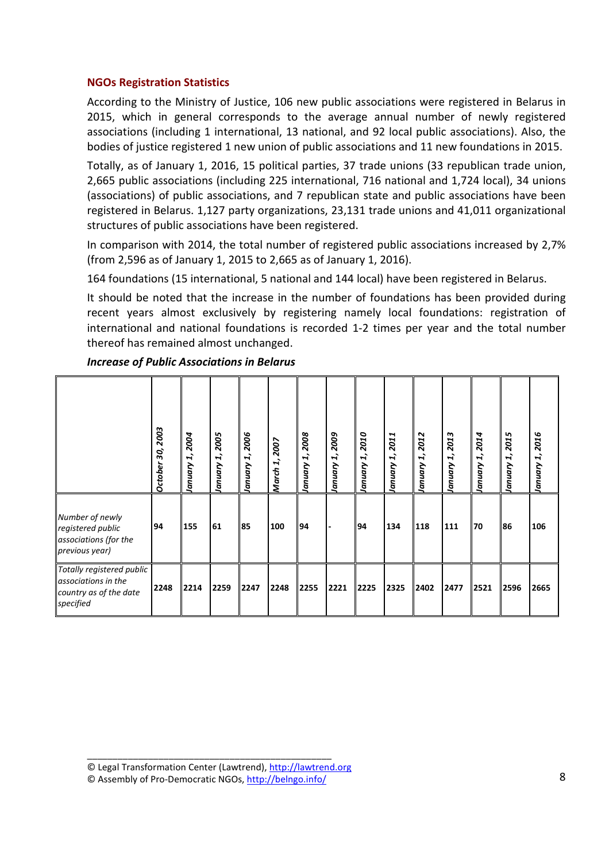## **NGOs Registration Statistics**

According to the Ministry of Justice, 106 new public associations were registered in Belarus in 2015, which in general corresponds to the average annual number of newly registered associations (including 1 international, 13 national, and 92 local public associations). Also, the bodies of justice registered 1 new union of public associations and 11 new foundations in 2015.

Totally, as of January 1, 2016, 15 political parties, 37 trade unions (33 republican trade union, 2,665 public associations (including 225 international, 716 national and 1,724 local), 34 unions (associations) of public associations, and 7 republican state and public associations have been registered in Belarus. 1,127 party organizations, 23,131 trade unions and 41,011 organizational structures of public associations have been registered.

In comparison with 2014, the total number of registered public associations increased by 2,7% (from 2,596 as of January 1, 2015 to 2,665 as of January 1, 2016).

164 foundations (15 international, 5 national and 144 local) have been registered in Belarus.

It should be noted that the increase in the number of foundations has been provided during recent years almost exclusively by registering namely local foundations: registration of international and national foundations is recorded 1-2 times per year and the total number thereof has remained almost unchanged.

|                                                                                         | 2003<br>30,<br>October | 2004<br>$\mathbf{r}$<br>January | 2005<br>$\mathbf{r}$<br>January | 2006<br>January 1, | 2007<br>$\vec{r}$<br><b>March</b> | 2008<br>I,<br>January | 2009<br>L,<br>January | 2010<br>$\mathbf{r}$<br><b>January</b> | 2011<br>$\mathbf{r}$<br>January | 2012<br>$\vec{r}$<br>January | 2013<br>L,<br>January | 2014<br>$\vec{r}$<br>January | 2015<br>$\vec{r}$<br>January | 2016<br>H,<br>January |
|-----------------------------------------------------------------------------------------|------------------------|---------------------------------|---------------------------------|--------------------|-----------------------------------|-----------------------|-----------------------|----------------------------------------|---------------------------------|------------------------------|-----------------------|------------------------------|------------------------------|-----------------------|
| Number of newly<br>registered public<br>associations (for the<br>previous year)         | 94                     | 155                             | 61                              | 85                 | 100                               | 94                    |                       | 94                                     | 134                             | 118                          | 111                   | 70                           | 86                           | 106                   |
| Totally registered public<br>associations in the<br>country as of the date<br>specified | 2248                   | 2214                            | 2259                            | 2247               | 2248                              | 2255                  | 2221                  | 2225                                   | 2325                            | 2402                         | 2477                  | 2521                         | 2596                         | 2665                  |

## *Increase of Public Associations in Belarus*

© Legal Transformation Center (Lawtrend), http://lawtrend.org

© Assembly of Pro-Democratic NGOs, http://belngo.info/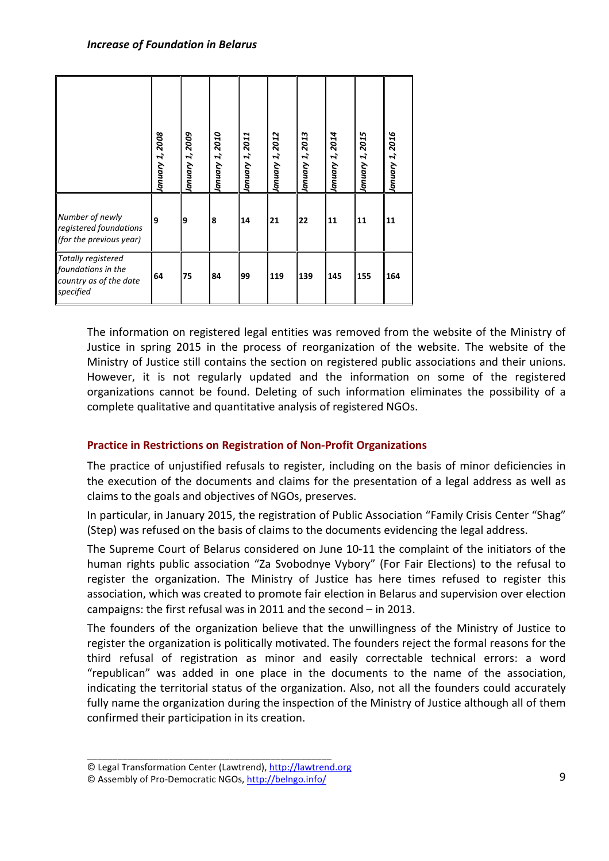|                                                                                 | January 1, 2008 | 2009<br>January 1, | January 1, 2010 | January 1, 2011 | 2012<br>January 1, | 2013<br>January 1, | January 1, 2014 | 2015<br>January 1, | 2016<br>January 1, |
|---------------------------------------------------------------------------------|-----------------|--------------------|-----------------|-----------------|--------------------|--------------------|-----------------|--------------------|--------------------|
| Number of newly<br>registered foundations<br>(for the previous year)            | 9               | 9                  | 8               | 14              | 21                 | 22                 | 11              | 11                 | 11                 |
| Totally registered<br>foundations in the<br>country as of the date<br>specified | 64              | 75                 | 84              | 99              | 119                | 139                | 145             | 155                | 164                |

The information on registered legal entities was removed from the website of the Ministry of Justice in spring 2015 in the process of reorganization of the website. The website of the Ministry of Justice still contains the section on registered public associations and their unions. However, it is not regularly updated and the information on some of the registered organizations cannot be found. Deleting of such information eliminates the possibility of a complete qualitative and quantitative analysis of registered NGOs.

## **Practice in Restrictions on Registration of Non-Profit Organizations**

The practice of unjustified refusals to register, including on the basis of minor deficiencies in the execution of the documents and claims for the presentation of a legal address as well as claims to the goals and objectives of NGOs, preserves.

In particular, in January 2015, the registration of Public Association "Family Crisis Center "Shag" (Step) was refused on the basis of claims to the documents evidencing the legal address.

The Supreme Court of Belarus considered on June 10-11 the complaint of the initiators of the human rights public association "Za Svobodnye Vybory" (For Fair Elections) to the refusal to register the organization. The Ministry of Justice has here times refused to register this association, which was created to promote fair election in Belarus and supervision over election campaigns: the first refusal was in 2011 and the second – in 2013.

The founders of the organization believe that the unwillingness of the Ministry of Justice to register the organization is politically motivated. The founders reject the formal reasons for the third refusal of registration as minor and easily correctable technical errors: a word "republican" was added in one place in the documents to the name of the association, indicating the territorial status of the organization. Also, not all the founders could accurately fully name the organization during the inspection of the Ministry of Justice although all of them confirmed their participation in its creation.

<sup>©</sup> Legal Transformation Center (Lawtrend), http://lawtrend.org

<sup>©</sup> Assembly of Pro-Democratic NGOs, http://belngo.info/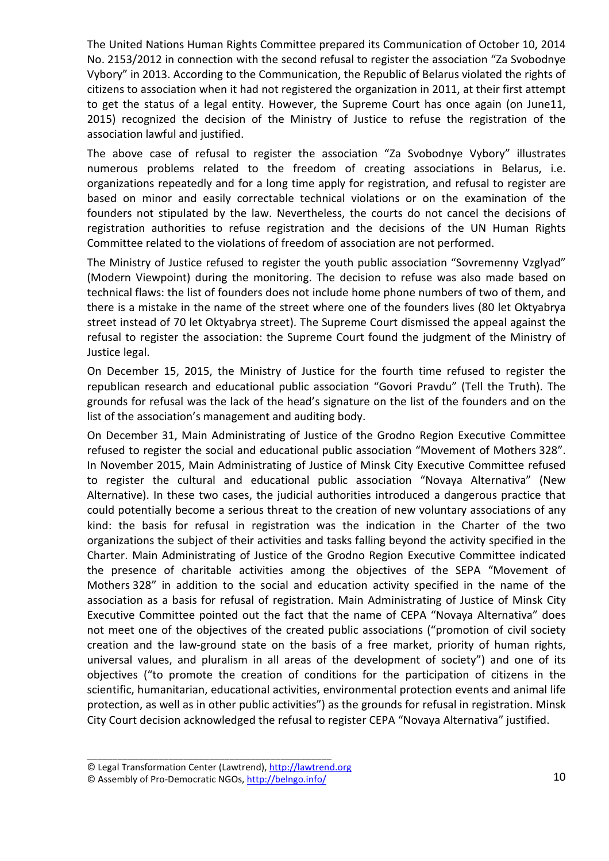The United Nations Human Rights Committee prepared its Communication of October 10, 2014 No. 2153/2012 in connection with the second refusal to register the association "Za Svobodnye Vybory" in 2013. According to the Communication, the Republic of Belarus violated the rights of citizens to association when it had not registered the organization in 2011, at their first attempt to get the status of a legal entity. However, the Supreme Court has once again (on June11, 2015) recognized the decision of the Ministry of Justice to refuse the registration of the association lawful and justified.

The above case of refusal to register the association "Za Svobodnye Vybory" illustrates numerous problems related to the freedom of creating associations in Belarus, i.e. organizations repeatedly and for a long time apply for registration, and refusal to register are based on minor and easily correctable technical violations or on the examination of the founders not stipulated by the law. Nevertheless, the courts do not cancel the decisions of registration authorities to refuse registration and the decisions of the UN Human Rights Committee related to the violations of freedom of association are not performed.

The Ministry of Justice refused to register the youth public association "Sovremenny Vzglyad" (Modern Viewpoint) during the monitoring. The decision to refuse was also made based on technical flaws: the list of founders does not include home phone numbers of two of them, and there is a mistake in the name of the street where one of the founders lives (80 let Oktyabrya street instead of 70 let Oktyabrya street). The Supreme Court dismissed the appeal against the refusal to register the association: the Supreme Court found the judgment of the Ministry of Justice legal.

On December 15, 2015, the Ministry of Justice for the fourth time refused to register the republican research and educational public association "Govori Pravdu" (Tell the Truth). The grounds for refusal was the lack of the head's signature on the list of the founders and on the list of the association's management and auditing body.

On December 31, Main Administrating of Justice of the Grodno Region Executive Committee refused to register the social and educational public association "Movement of Mothers 328". In November 2015, Main Administrating of Justice of Minsk City Executive Committee refused to register the cultural and educational public association "Novaya Alternativa" (New Alternative). In these two cases, the judicial authorities introduced a dangerous practice that could potentially become a serious threat to the creation of new voluntary associations of any kind: the basis for refusal in registration was the indication in the Charter of the two organizations the subject of their activities and tasks falling beyond the activity specified in the Charter. Main Administrating of Justice of the Grodno Region Executive Committee indicated the presence of charitable activities among the objectives of the SEPA "Movement of Mothers 328" in addition to the social and education activity specified in the name of the association as a basis for refusal of registration. Main Administrating of Justice of Minsk City Executive Committee pointed out the fact that the name of CEPA "Novaya Alternativa" does not meet one of the objectives of the created public associations ("promotion of civil society creation and the law-ground state on the basis of a free market, priority of human rights, universal values, and pluralism in all areas of the development of society") and one of its objectives ("to promote the creation of conditions for the participation of citizens in the scientific, humanitarian, educational activities, environmental protection events and animal life protection, as well as in other public activities") as the grounds for refusal in registration. Minsk City Court decision acknowledged the refusal to register CEPA "Novaya Alternativa" justified.

<sup>©</sup> Legal Transformation Center (Lawtrend), http://lawtrend.org

<sup>©</sup> Assembly of Pro-Democratic NGOs, http://belngo.info/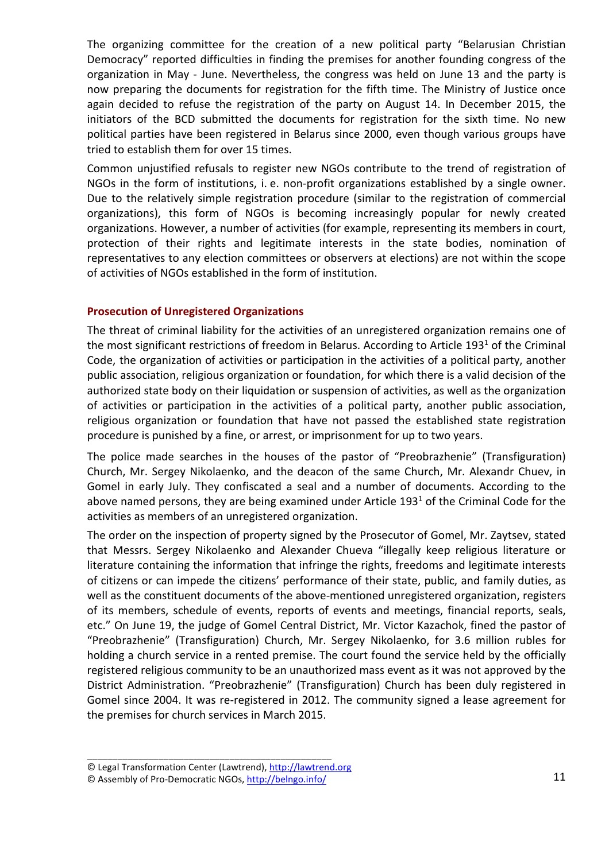The organizing committee for the creation of a new political party "Belarusian Christian Democracy" reported difficulties in finding the premises for another founding congress of the organization in May - June. Nevertheless, the congress was held on June 13 and the party is now preparing the documents for registration for the fifth time. The Ministry of Justice once again decided to refuse the registration of the party on August 14. In December 2015, the initiators of the BCD submitted the documents for registration for the sixth time. No new political parties have been registered in Belarus since 2000, even though various groups have tried to establish them for over 15 times.

Common unjustified refusals to register new NGOs contribute to the trend of registration of NGOs in the form of institutions, i. e. non-profit organizations established by a single owner. Due to the relatively simple registration procedure (similar to the registration of commercial organizations), this form of NGOs is becoming increasingly popular for newly created organizations. However, a number of activities (for example, representing its members in court, protection of their rights and legitimate interests in the state bodies, nomination of representatives to any election committees or observers at elections) are not within the scope of activities of NGOs established in the form of institution.

## **Prosecution of Unregistered Organizations**

The threat of criminal liability for the activities of an unregistered organization remains one of the most significant restrictions of freedom in Belarus. According to Article 193<sup>1</sup> of the Criminal Code, the organization of activities or participation in the activities of a political party, another public association, religious organization or foundation, for which there is a valid decision of the authorized state body on their liquidation or suspension of activities, as well as the organization of activities or participation in the activities of a political party, another public association, religious organization or foundation that have not passed the established state registration procedure is punished by a fine, or arrest, or imprisonment for up to two years.

The police made searches in the houses of the pastor of "Preobrazhenie" (Transfiguration) Church, Mr. Sergey Nikolaenko, and the deacon of the same Church, Mr. Alexandr Chuev, in Gomel in early July. They confiscated a seal and a number of documents. According to the above named persons, they are being examined under Article 193<sup>1</sup> of the Criminal Code for the activities as members of an unregistered organization.

The order on the inspection of property signed by the Prosecutor of Gomel, Mr. Zaytsev, stated that Messrs. Sergey Nikolaenko and Alexander Chueva "illegally keep religious literature or literature containing the information that infringe the rights, freedoms and legitimate interests of citizens or can impede the citizens' performance of their state, public, and family duties, as well as the constituent documents of the above-mentioned unregistered organization, registers of its members, schedule of events, reports of events and meetings, financial reports, seals, etc." On June 19, the judge of Gomel Central District, Mr. Victor Kazachok, fined the pastor of "Preobrazhenie" (Transfiguration) Church, Mr. Sergey Nikolaenko, for 3.6 million rubles for holding a church service in a rented premise. The court found the service held by the officially registered religious community to be an unauthorized mass event as it was not approved by the District Administration. "Preobrazhenie" (Transfiguration) Church has been duly registered in Gomel since 2004. It was re-registered in 2012. The community signed a lease agreement for the premises for church services in March 2015.

<sup>©</sup> Legal Transformation Center (Lawtrend), http://lawtrend.org

<sup>©</sup> Assembly of Pro-Democratic NGOs, http://belngo.info/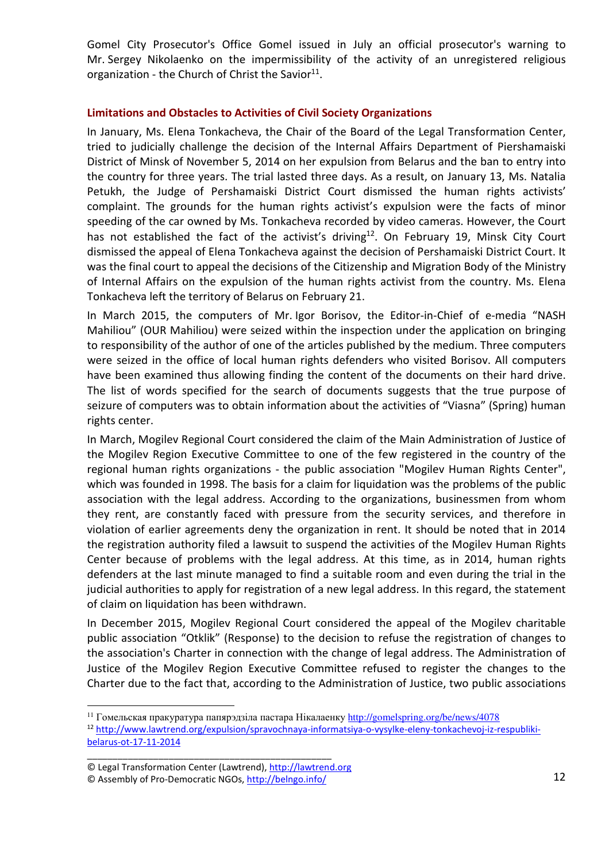Gomel City Prosecutor's Office Gomel issued in July an official prosecutor's warning to Mr. Sergey Nikolaenko on the impermissibility of the activity of an unregistered religious organization - the Church of Christ the Savior $^{11}$ .

## **Limitations and Obstacles to Activities of Civil Society Organizations**

In January, Ms. Elena Tonkacheva, the Chair of the Board of the Legal Transformation Center, tried to judicially challenge the decision of the Internal Affairs Department of Piershamaiski District of Minsk of November 5, 2014 on her expulsion from Belarus and the ban to entry into the country for three years. The trial lasted three days. As a result, on January 13, Ms. Natalia Petukh, the Judge of Pershamaiski District Court dismissed the human rights activists' complaint. The grounds for the human rights activist's expulsion were the facts of minor speeding of the car owned by Ms. Tonkacheva recorded by video cameras. However, the Court has not established the fact of the activist's driving<sup>12</sup>. On February 19, Minsk City Court dismissed the appeal of Elena Tonkacheva against the decision of Pershamaiski District Court. It was the final court to appeal the decisions of the Citizenship and Migration Body of the Ministry of Internal Affairs on the expulsion of the human rights activist from the country. Ms. Elena Tonkacheva left the territory of Belarus on February 21.

In March 2015, the computers of Mr. Igor Borisov, the Editor-in-Chief of e-media "NASH Mahiliou" (OUR Mahiliou) were seized within the inspection under the application on bringing to responsibility of the author of one of the articles published by the medium. Three computers were seized in the office of local human rights defenders who visited Borisov. All computers have been examined thus allowing finding the content of the documents on their hard drive. The list of words specified for the search of documents suggests that the true purpose of seizure of computers was to obtain information about the activities of "Viasna" (Spring) human rights center.

In March, Mogilev Regional Court considered the claim of the Main Administration of Justice of the Mogilev Region Executive Committee to one of the few registered in the country of the regional human rights organizations - the public association "Mogilev Human Rights Center", which was founded in 1998. The basis for a claim for liquidation was the problems of the public association with the legal address. According to the organizations, businessmen from whom they rent, are constantly faced with pressure from the security services, and therefore in violation of earlier agreements deny the organization in rent. It should be noted that in 2014 the registration authority filed a lawsuit to suspend the activities of the Mogilev Human Rights Center because of problems with the legal address. At this time, as in 2014, human rights defenders at the last minute managed to find a suitable room and even during the trial in the judicial authorities to apply for registration of a new legal address. In this regard, the statement of claim on liquidation has been withdrawn.

In December 2015, Mogilev Regional Court considered the appeal of the Mogilev charitable public association "Otklik" (Response) to the decision to refuse the registration of changes to the association's Charter in connection with the change of legal address. The Administration of Justice of the Mogilev Region Executive Committee refused to register the changes to the Charter due to the fact that, according to the Administration of Justice, two public associations

\_\_\_\_\_\_\_\_\_\_\_\_\_\_\_\_\_\_\_\_\_\_\_\_\_\_\_\_\_\_\_\_\_\_\_\_\_\_\_\_\_\_\_\_\_\_\_\_

 $\overline{a}$ 

<sup>&</sup>lt;sup>11</sup> Гомельская пракуратура папярэдзіла пастара Нікалаенку http://gomelspring.org/be/news/4078

<sup>12</sup> http://www.lawtrend.org/expulsion/spravochnaya-informatsiya-o-vysylke-eleny-tonkachevoj-iz-respublikibelarus-ot-17-11-2014

<sup>©</sup> Legal Transformation Center (Lawtrend), http://lawtrend.org

<sup>©</sup> Assembly of Pro-Democratic NGOs, http://belngo.info/